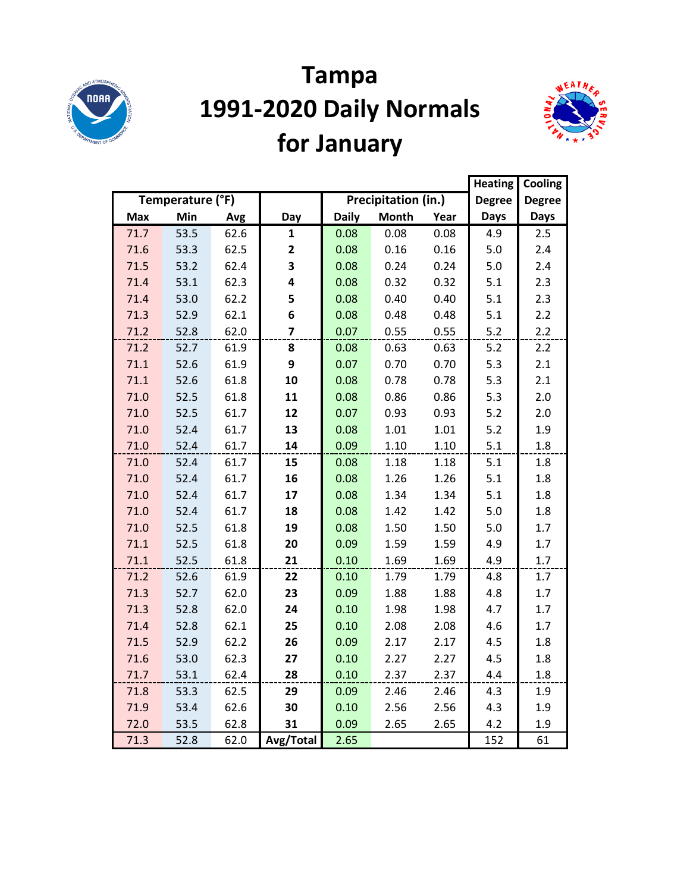

# **Tampa 1991-2020 Daily Normals for January**



|            |                  |      |              |              |                            |      | <b>Heating</b> | Cooling       |
|------------|------------------|------|--------------|--------------|----------------------------|------|----------------|---------------|
|            | Temperature (°F) |      |              |              | <b>Precipitation (in.)</b> |      | <b>Degree</b>  | <b>Degree</b> |
| <b>Max</b> | Min              | Avg  | Day          | <b>Daily</b> | <b>Month</b>               | Year | Days           | <b>Days</b>   |
| 71.7       | 53.5             | 62.6 | $\mathbf{1}$ | 0.08         | 0.08                       | 0.08 | 4.9            | 2.5           |
| 71.6       | 53.3             | 62.5 | $\mathbf{2}$ | 0.08         | 0.16                       | 0.16 | 5.0            | 2.4           |
| 71.5       | 53.2             | 62.4 | 3            | 0.08         | 0.24                       | 0.24 | $5.0$          | 2.4           |
| 71.4       | 53.1             | 62.3 | 4            | 0.08         | 0.32                       | 0.32 | 5.1            | 2.3           |
| 71.4       | 53.0             | 62.2 | 5            | 0.08         | 0.40                       | 0.40 | 5.1            | 2.3           |
| 71.3       | 52.9             | 62.1 | 6            | 0.08         | 0.48                       | 0.48 | 5.1            | 2.2           |
| 71.2       | 52.8             | 62.0 | 7            | 0.07         | 0.55                       | 0.55 | 5.2            | 2.2           |
| 71.2       | 52.7             | 61.9 | 8            | 0.08         | 0.63                       | 0.63 | 5.2            | 2.2           |
| 71.1       | 52.6             | 61.9 | 9            | 0.07         | 0.70                       | 0.70 | 5.3            | 2.1           |
| 71.1       | 52.6             | 61.8 | 10           | 0.08         | 0.78                       | 0.78 | 5.3            | 2.1           |
| 71.0       | 52.5             | 61.8 | 11           | 0.08         | 0.86                       | 0.86 | 5.3            | 2.0           |
| 71.0       | 52.5             | 61.7 | 12           | 0.07         | 0.93                       | 0.93 | $5.2$          | 2.0           |
| 71.0       | 52.4             | 61.7 | 13           | 0.08         | 1.01                       | 1.01 | 5.2            | 1.9           |
| 71.0       | 52.4             | 61.7 | 14           | 0.09         | 1.10                       | 1.10 | 5.1            | 1.8           |
| 71.0       | 52.4             | 61.7 | 15           | 0.08         | 1.18                       | 1.18 | 5.1            | 1.8           |
| 71.0       | 52.4             | 61.7 | 16           | 0.08         | 1.26                       | 1.26 | 5.1            | 1.8           |
| 71.0       | 52.4             | 61.7 | 17           | 0.08         | 1.34                       | 1.34 | 5.1            | 1.8           |
| 71.0       | 52.4             | 61.7 | 18           | 0.08         | 1.42                       | 1.42 | 5.0            | 1.8           |
| 71.0       | 52.5             | 61.8 | 19           | 0.08         | 1.50                       | 1.50 | 5.0            | 1.7           |
| 71.1       | 52.5             | 61.8 | 20           | 0.09         | 1.59                       | 1.59 | 4.9            | 1.7           |
| 71.1       | 52.5             | 61.8 | 21           | 0.10         | 1.69                       | 1.69 | 4.9            | 1.7           |
| 71.2       | 52.6             | 61.9 | 22           | 0.10         | 1.79                       | 1.79 | 4.8            | 1.7           |
| 71.3       | 52.7             | 62.0 | 23           | 0.09         | 1.88                       | 1.88 | 4.8            | 1.7           |
| 71.3       | 52.8             | 62.0 | 24           | 0.10         | 1.98                       | 1.98 | 4.7            | 1.7           |
| 71.4       | 52.8             | 62.1 | 25           | 0.10         | 2.08                       | 2.08 | 4.6            | 1.7           |
| 71.5       | 52.9             | 62.2 | 26           | 0.09         | 2.17                       | 2.17 | 4.5            | 1.8           |
| 71.6       | 53.0             | 62.3 | 27           | 0.10         | 2.27                       | 2.27 | 4.5            | 1.8           |
| 71.7       | 53.1             | 62.4 | 28           | 0.10         | 2.37                       | 2.37 | 4.4            | 1.8           |
| 71.8       | 53.3             | 62.5 | 29           | 0.09         | 2.46                       | 2.46 | 4.3            | 1.9           |
| 71.9       | 53.4             | 62.6 | 30           | 0.10         | 2.56                       | 2.56 | 4.3            | 1.9           |
| 72.0       | 53.5             | 62.8 | 31           | 0.09         | 2.65                       | 2.65 | 4.2            | 1.9           |
| 71.3       | 52.8             | 62.0 | Avg/Total    | 2.65         |                            |      | 152            | 61            |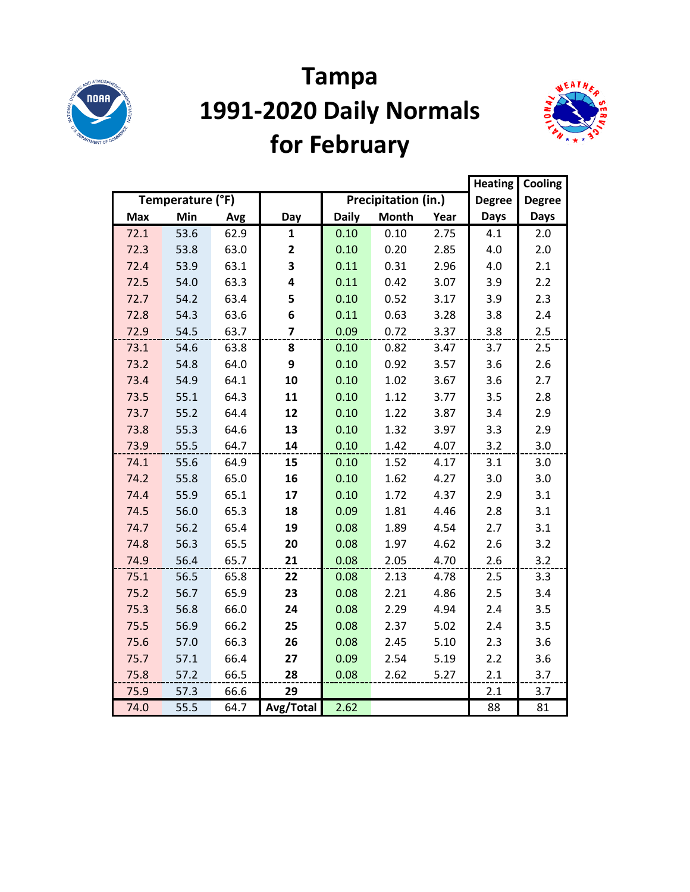

# **Tampa 1991-2020 Daily Normals for February**



|            |                  |      |                         |              |                     |      |               | Cooling       |
|------------|------------------|------|-------------------------|--------------|---------------------|------|---------------|---------------|
|            | Temperature (°F) |      |                         |              | Precipitation (in.) |      | <b>Degree</b> | <b>Degree</b> |
| <b>Max</b> | Min              | Avg  | Day                     | <b>Daily</b> | <b>Month</b>        | Year | <b>Days</b>   | <b>Days</b>   |
| 72.1       | 53.6             | 62.9 | $\mathbf{1}$            | 0.10         | 0.10                | 2.75 | 4.1           | 2.0           |
| 72.3       | 53.8             | 63.0 | $\overline{2}$          | 0.10         | 0.20                | 2.85 | 4.0           | 2.0           |
| 72.4       | 53.9             | 63.1 | 3                       | 0.11         | 0.31                | 2.96 | 4.0           | 2.1           |
| 72.5       | 54.0             | 63.3 | 4                       | 0.11         | 0.42                | 3.07 | 3.9           | 2.2           |
| 72.7       | 54.2             | 63.4 | 5                       | 0.10         | 0.52                | 3.17 | 3.9           | 2.3           |
| 72.8       | 54.3             | 63.6 | 6                       | 0.11         | 0.63                | 3.28 | 3.8           | 2.4           |
| 72.9       | 54.5             | 63.7 | $\overline{\mathbf{z}}$ | 0.09         | 0.72                | 3.37 | 3.8           | 2.5           |
| 73.1       | 54.6             | 63.8 | 8                       | 0.10         | 0.82                | 3.47 | 3.7           | 2.5           |
| 73.2       | 54.8             | 64.0 | 9                       | 0.10         | 0.92                | 3.57 | 3.6           | 2.6           |
| 73.4       | 54.9             | 64.1 | 10                      | 0.10         | 1.02                | 3.67 | 3.6           | 2.7           |
| 73.5       | 55.1             | 64.3 | 11                      | 0.10         | 1.12                | 3.77 | 3.5           | 2.8           |
| 73.7       | 55.2             | 64.4 | 12                      | 0.10         | 1.22                | 3.87 | 3.4           | 2.9           |
| 73.8       | 55.3             | 64.6 | 13                      | 0.10         | 1.32                | 3.97 | 3.3           | 2.9           |
| 73.9       | 55.5             | 64.7 | 14                      | 0.10         | 1.42                | 4.07 | 3.2           | 3.0           |
| 74.1       | 55.6             | 64.9 | 15                      | 0.10         | 1.52                | 4.17 | 3.1           | 3.0           |
| 74.2       | 55.8             | 65.0 | 16                      | 0.10         | 1.62                | 4.27 | 3.0           | 3.0           |
| 74.4       | 55.9             | 65.1 | 17                      | 0.10         | 1.72                | 4.37 | 2.9           | 3.1           |
| 74.5       | 56.0             | 65.3 | 18                      | 0.09         | 1.81                | 4.46 | 2.8           | 3.1           |
| 74.7       | 56.2             | 65.4 | 19                      | 0.08         | 1.89                | 4.54 | 2.7           | 3.1           |
| 74.8       | 56.3             | 65.5 | 20                      | 0.08         | 1.97                | 4.62 | 2.6           | 3.2           |
| 74.9       | 56.4             | 65.7 | 21                      | 0.08         | 2.05                | 4.70 | 2.6           | 3.2           |
| 75.1       | 56.5             | 65.8 | 22                      | 0.08         | 2.13                | 4.78 | 2.5           | 3.3           |
| 75.2       | 56.7             | 65.9 | 23                      | 0.08         | 2.21                | 4.86 | 2.5           | 3.4           |
| 75.3       | 56.8             | 66.0 | 24                      | 0.08         | 2.29                | 4.94 | 2.4           | 3.5           |
| 75.5       | 56.9             | 66.2 | 25                      | 0.08         | 2.37                | 5.02 | 2.4           | 3.5           |
| 75.6       | 57.0             | 66.3 | 26                      | 0.08         | 2.45                | 5.10 | 2.3           | 3.6           |
| 75.7       | 57.1             | 66.4 | 27                      | 0.09         | 2.54                | 5.19 | 2.2           | 3.6           |
| 75.8       | 57.2             | 66.5 | 28                      | 0.08         | 2.62                | 5.27 | 2.1           | 3.7           |
| 75.9       | 57.3             | 66.6 | 29                      |              |                     |      | 2.1           | 3.7           |
| 74.0       | 55.5             | 64.7 | Avg/Total               | 2.62         |                     |      | 88            | 81            |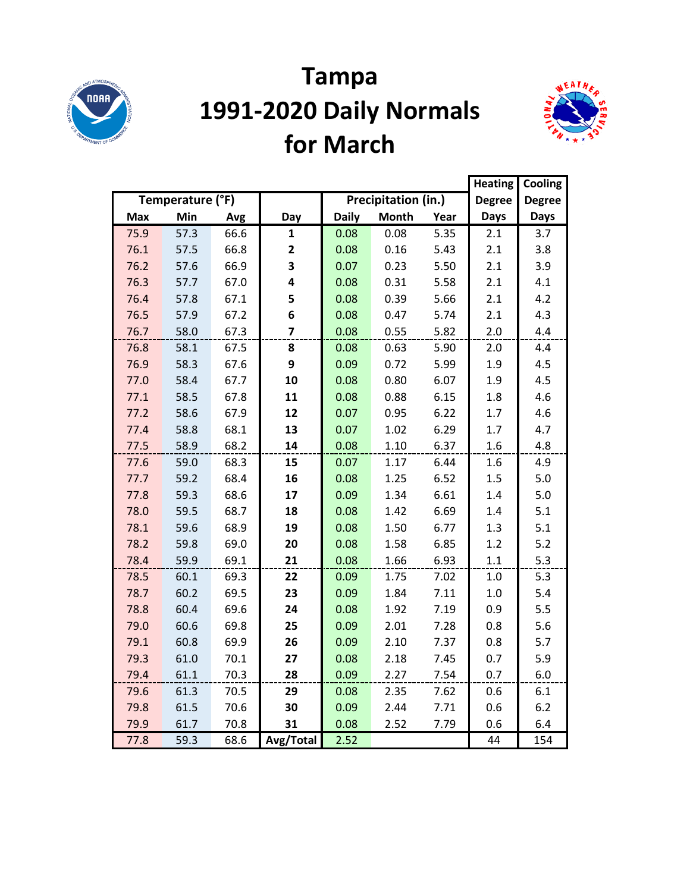

#### **Tampa 1991-2020 Daily Normals for March**



|            |                  |      |              |              |                     |      | <b>Heating</b> | Cooling       |
|------------|------------------|------|--------------|--------------|---------------------|------|----------------|---------------|
|            | Temperature (°F) |      |              |              | Precipitation (in.) |      | <b>Degree</b>  | <b>Degree</b> |
| <b>Max</b> | Min              | Avg  | Day          | <b>Daily</b> | <b>Month</b>        | Year | <b>Days</b>    | <b>Days</b>   |
| 75.9       | 57.3             | 66.6 | 1            | 0.08         | 0.08                | 5.35 | 2.1            | 3.7           |
| 76.1       | 57.5             | 66.8 | $\mathbf{2}$ | 0.08         | 0.16                | 5.43 | 2.1            | 3.8           |
| 76.2       | 57.6             | 66.9 | 3            | 0.07         | 0.23                | 5.50 | 2.1            | 3.9           |
| 76.3       | 57.7             | 67.0 | 4            | 0.08         | 0.31                | 5.58 | 2.1            | 4.1           |
| 76.4       | 57.8             | 67.1 | 5            | 0.08         | 0.39                | 5.66 | 2.1            | 4.2           |
| 76.5       | 57.9             | 67.2 | 6            | 0.08         | 0.47                | 5.74 | 2.1            | 4.3           |
| 76.7       | 58.0             | 67.3 | 7            | 0.08         | 0.55                | 5.82 | 2.0            | 4.4           |
| 76.8       | 58.1             | 67.5 | 8            | 0.08         | 0.63                | 5.90 | 2.0            | 4.4           |
| 76.9       | 58.3             | 67.6 | 9            | 0.09         | 0.72                | 5.99 | 1.9            | 4.5           |
| 77.0       | 58.4             | 67.7 | 10           | 0.08         | 0.80                | 6.07 | 1.9            | 4.5           |
| 77.1       | 58.5             | 67.8 | 11           | 0.08         | 0.88                | 6.15 | 1.8            | 4.6           |
| 77.2       | 58.6             | 67.9 | 12           | 0.07         | 0.95                | 6.22 | 1.7            | 4.6           |
| 77.4       | 58.8             | 68.1 | 13           | 0.07         | 1.02                | 6.29 | 1.7            | 4.7           |
| 77.5       | 58.9             | 68.2 | 14           | 0.08         | 1.10                | 6.37 | 1.6            | 4.8           |
| 77.6       | 59.0             | 68.3 | 15           | 0.07         | 1.17                | 6.44 | 1.6            | 4.9           |
| 77.7       | 59.2             | 68.4 | 16           | 0.08         | 1.25                | 6.52 | 1.5            | $5.0$         |
| 77.8       | 59.3             | 68.6 | 17           | 0.09         | 1.34                | 6.61 | 1.4            | 5.0           |
| 78.0       | 59.5             | 68.7 | 18           | 0.08         | 1.42                | 6.69 | 1.4            | 5.1           |
| 78.1       | 59.6             | 68.9 | 19           | 0.08         | 1.50                | 6.77 | 1.3            | 5.1           |
| 78.2       | 59.8             | 69.0 | 20           | 0.08         | 1.58                | 6.85 | 1.2            | $5.2$         |
| 78.4       | 59.9             | 69.1 | 21           | 0.08         | 1.66                | 6.93 | 1.1            | 5.3           |
| 78.5       | 60.1             | 69.3 | 22           | 0.09         | 1.75                | 7.02 | 1.0            | 5.3           |
| 78.7       | 60.2             | 69.5 | 23           | 0.09         | 1.84                | 7.11 | $1.0\,$        | 5.4           |
| 78.8       | 60.4             | 69.6 | 24           | 0.08         | 1.92                | 7.19 | 0.9            | 5.5           |
| 79.0       | 60.6             | 69.8 | 25           | 0.09         | 2.01                | 7.28 | 0.8            | 5.6           |
| 79.1       | 60.8             | 69.9 | 26           | 0.09         | 2.10                | 7.37 | 0.8            | 5.7           |
| 79.3       | 61.0             | 70.1 | 27           | 0.08         | 2.18                | 7.45 | 0.7            | 5.9           |
| 79.4       | 61.1             | 70.3 | 28           | 0.09         | 2.27                | 7.54 | 0.7            | 6.0           |
| 79.6       | 61.3             | 70.5 | 29           | 0.08         | 2.35                | 7.62 | 0.6            | 6.1           |
| 79.8       | 61.5             | 70.6 | 30           | 0.09         | 2.44                | 7.71 | 0.6            | 6.2           |
| 79.9       | 61.7             | 70.8 | 31           | 0.08         | 2.52                | 7.79 | 0.6            | 6.4           |
| 77.8       | 59.3             | 68.6 | Avg/Total    | 2.52         |                     |      | 44             | 154           |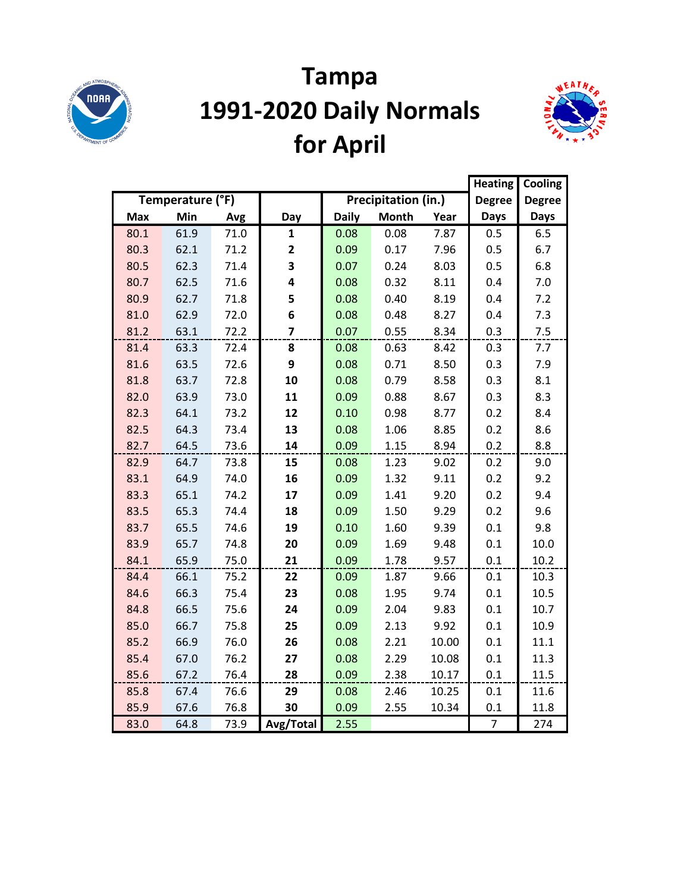

# **Tampa 1991-2020 Daily Normals for April**



|            |                  |      |                |              |                     | <b>Heating</b> | Cooling        |               |
|------------|------------------|------|----------------|--------------|---------------------|----------------|----------------|---------------|
|            | Temperature (°F) |      |                |              | Precipitation (in.) |                | <b>Degree</b>  | <b>Degree</b> |
| <b>Max</b> | Min              | Avg  | Day            | <b>Daily</b> | <b>Month</b>        | Year           | <b>Days</b>    | <b>Days</b>   |
| 80.1       | 61.9             | 71.0 | $\mathbf{1}$   | 0.08         | 0.08                | 7.87           | 0.5            | 6.5           |
| 80.3       | 62.1             | 71.2 | 2              | 0.09         | 0.17                | 7.96           | 0.5            | 6.7           |
| 80.5       | 62.3             | 71.4 | 3              | 0.07         | 0.24                | 8.03           | 0.5            | 6.8           |
| 80.7       | 62.5             | 71.6 | 4              | 0.08         | 0.32                | 8.11           | 0.4            | 7.0           |
| 80.9       | 62.7             | 71.8 | 5              | 0.08         | 0.40                | 8.19           | 0.4            | 7.2           |
| 81.0       | 62.9             | 72.0 | 6              | 0.08         | 0.48                | 8.27           | 0.4            | 7.3           |
| 81.2       | 63.1             | 72.2 | $\overline{7}$ | 0.07         | 0.55                | 8.34           | 0.3            | 7.5           |
| 81.4       | 63.3             | 72.4 | 8              | 0.08         | 0.63                | 8.42           | 0.3            | 7.7           |
| 81.6       | 63.5             | 72.6 | 9              | 0.08         | 0.71                | 8.50           | 0.3            | 7.9           |
| 81.8       | 63.7             | 72.8 | 10             | 0.08         | 0.79                | 8.58           | 0.3            | 8.1           |
| 82.0       | 63.9             | 73.0 | 11             | 0.09         | 0.88                | 8.67           | 0.3            | 8.3           |
| 82.3       | 64.1             | 73.2 | 12             | 0.10         | 0.98                | 8.77           | 0.2            | 8.4           |
| 82.5       | 64.3             | 73.4 | 13             | 0.08         | 1.06                | 8.85           | 0.2            | 8.6           |
| 82.7       | 64.5             | 73.6 | 14             | 0.09         | 1.15                | 8.94           | 0.2            | 8.8           |
| 82.9       | 64.7             | 73.8 | 15             | 0.08         | 1.23                | 9.02           | 0.2            | 9.0           |
| 83.1       | 64.9             | 74.0 | 16             | 0.09         | 1.32                | 9.11           | 0.2            | 9.2           |
| 83.3       | 65.1             | 74.2 | 17             | 0.09         | 1.41                | 9.20           | 0.2            | 9.4           |
| 83.5       | 65.3             | 74.4 | 18             | 0.09         | 1.50                | 9.29           | 0.2            | 9.6           |
| 83.7       | 65.5             | 74.6 | 19             | 0.10         | 1.60                | 9.39           | 0.1            | 9.8           |
| 83.9       | 65.7             | 74.8 | 20             | 0.09         | 1.69                | 9.48           | 0.1            | 10.0          |
| 84.1       | 65.9             | 75.0 | 21             | 0.09         | 1.78                | 9.57           | 0.1            | 10.2          |
| 84.4       | 66.1             | 75.2 | 22             | 0.09         | 1.87                | 9.66           | 0.1            | 10.3          |
| 84.6       | 66.3             | 75.4 | 23             | 0.08         | 1.95                | 9.74           | 0.1            | 10.5          |
| 84.8       | 66.5             | 75.6 | 24             | 0.09         | 2.04                | 9.83           | 0.1            | 10.7          |
| 85.0       | 66.7             | 75.8 | 25             | 0.09         | 2.13                | 9.92           | 0.1            | 10.9          |
| 85.2       | 66.9             | 76.0 | 26             | 0.08         | 2.21                | 10.00          | 0.1            | 11.1          |
| 85.4       | 67.0             | 76.2 | 27             | 0.08         | 2.29                | 10.08          | 0.1            | 11.3          |
| 85.6       | 67.2             | 76.4 | 28             | 0.09         | 2.38                | 10.17          | 0.1            | 11.5          |
| 85.8       | 67.4             | 76.6 | 29             | 0.08         | 2.46                | 10.25          | 0.1            | 11.6          |
| 85.9       | 67.6             | 76.8 | 30             | 0.09         | 2.55                | 10.34          | 0.1            | 11.8          |
| 83.0       | 64.8             | 73.9 | Avg/Total      | 2.55         |                     |                | $\overline{7}$ | 274           |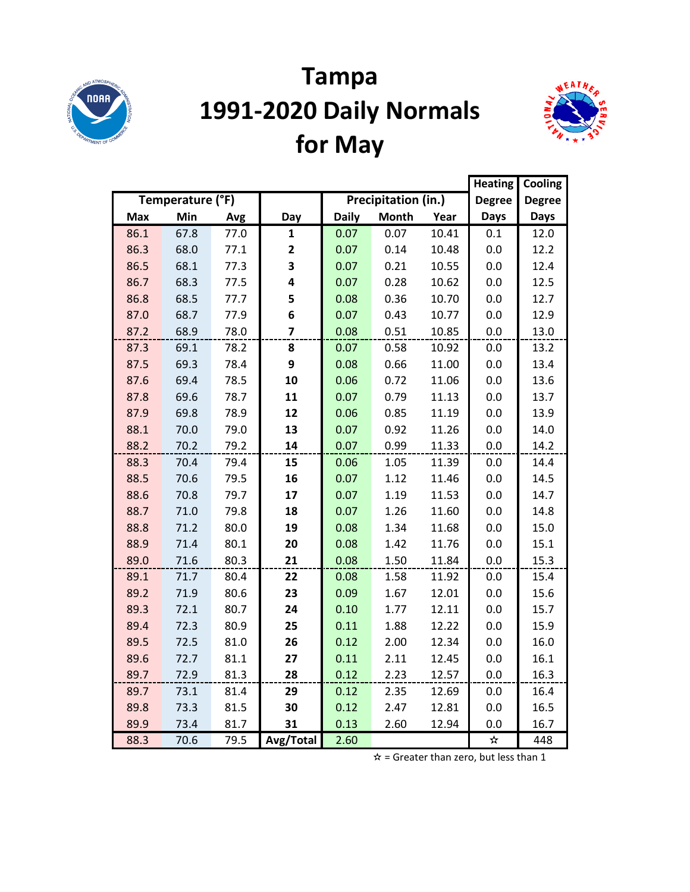

## **Tampa 1991-2020 Daily Normals for May**



|      |                  |      |              |              |                     |       | <b>Heating</b> | Cooling       |
|------|------------------|------|--------------|--------------|---------------------|-------|----------------|---------------|
|      | Temperature (°F) |      |              |              | Precipitation (in.) |       | <b>Degree</b>  | <b>Degree</b> |
| Max  | Min              | Avg  | Day          | <b>Daily</b> | <b>Month</b>        | Year  | <b>Days</b>    | <b>Days</b>   |
| 86.1 | 67.8             | 77.0 | 1            | 0.07         | 0.07                | 10.41 | 0.1            | 12.0          |
| 86.3 | 68.0             | 77.1 | $\mathbf{2}$ | 0.07         | 0.14                | 10.48 | 0.0            | 12.2          |
| 86.5 | 68.1             | 77.3 | 3            | 0.07         | 0.21                | 10.55 | 0.0            | 12.4          |
| 86.7 | 68.3             | 77.5 | 4            | 0.07         | 0.28                | 10.62 | 0.0            | 12.5          |
| 86.8 | 68.5             | 77.7 | 5            | 0.08         | 0.36                | 10.70 | 0.0            | 12.7          |
| 87.0 | 68.7             | 77.9 | 6            | 0.07         | 0.43                | 10.77 | 0.0            | 12.9          |
| 87.2 | 68.9             | 78.0 | 7            | 0.08         | 0.51                | 10.85 | 0.0            | 13.0          |
| 87.3 | 69.1             | 78.2 | 8            | 0.07         | 0.58                | 10.92 | 0.0            | 13.2          |
| 87.5 | 69.3             | 78.4 | 9            | 0.08         | 0.66                | 11.00 | 0.0            | 13.4          |
| 87.6 | 69.4             | 78.5 | 10           | 0.06         | 0.72                | 11.06 | 0.0            | 13.6          |
| 87.8 | 69.6             | 78.7 | 11           | 0.07         | 0.79                | 11.13 | 0.0            | 13.7          |
| 87.9 | 69.8             | 78.9 | 12           | 0.06         | 0.85                | 11.19 | 0.0            | 13.9          |
| 88.1 | 70.0             | 79.0 | 13           | 0.07         | 0.92                | 11.26 | 0.0            | 14.0          |
| 88.2 | 70.2             | 79.2 | 14           | 0.07         | 0.99                | 11.33 | 0.0            | 14.2          |
| 88.3 | 70.4             | 79.4 | 15           | 0.06         | 1.05                | 11.39 | 0.0            | 14.4          |
| 88.5 | 70.6             | 79.5 | 16           | 0.07         | 1.12                | 11.46 | 0.0            | 14.5          |
| 88.6 | 70.8             | 79.7 | 17           | 0.07         | 1.19                | 11.53 | 0.0            | 14.7          |
| 88.7 | 71.0             | 79.8 | 18           | 0.07         | 1.26                | 11.60 | 0.0            | 14.8          |
| 88.8 | 71.2             | 80.0 | 19           | 0.08         | 1.34                | 11.68 | 0.0            | 15.0          |
| 88.9 | 71.4             | 80.1 | 20           | 0.08         | 1.42                | 11.76 | 0.0            | 15.1          |
| 89.0 | 71.6             | 80.3 | 21           | 0.08         | 1.50                | 11.84 | 0.0            | 15.3          |
| 89.1 | 71.7             | 80.4 | 22           | 0.08         | 1.58                | 11.92 | 0.0            | 15.4          |
| 89.2 | 71.9             | 80.6 | 23           | 0.09         | 1.67                | 12.01 | 0.0            | 15.6          |
| 89.3 | 72.1             | 80.7 | 24           | 0.10         | 1.77                | 12.11 | 0.0            | 15.7          |
| 89.4 | 72.3             | 80.9 | 25           | 0.11         | 1.88                | 12.22 | 0.0            | 15.9          |
| 89.5 | 72.5             | 81.0 | 26           | 0.12         | 2.00                | 12.34 | 0.0            | 16.0          |
| 89.6 | 72.7             | 81.1 | 27           | 0.11         | 2.11                | 12.45 | 0.0            | 16.1          |
| 89.7 | 72.9             | 81.3 | 28           | 0.12         | 2.23                | 12.57 | 0.0            | 16.3          |
| 89.7 | 73.1             | 81.4 | 29           | 0.12         | 2.35                | 12.69 | 0.0            | 16.4          |
| 89.8 | 73.3             | 81.5 | 30           | 0.12         | 2.47                | 12.81 | 0.0            | 16.5          |
| 89.9 | 73.4             | 81.7 | 31           | 0.13         | 2.60                | 12.94 | 0.0            | 16.7          |
| 88.3 | 70.6             | 79.5 | Avg/Total    | 2.60         |                     |       | ☆              | 448           |

 $\hat{x}$  = Greater than zero, but less than 1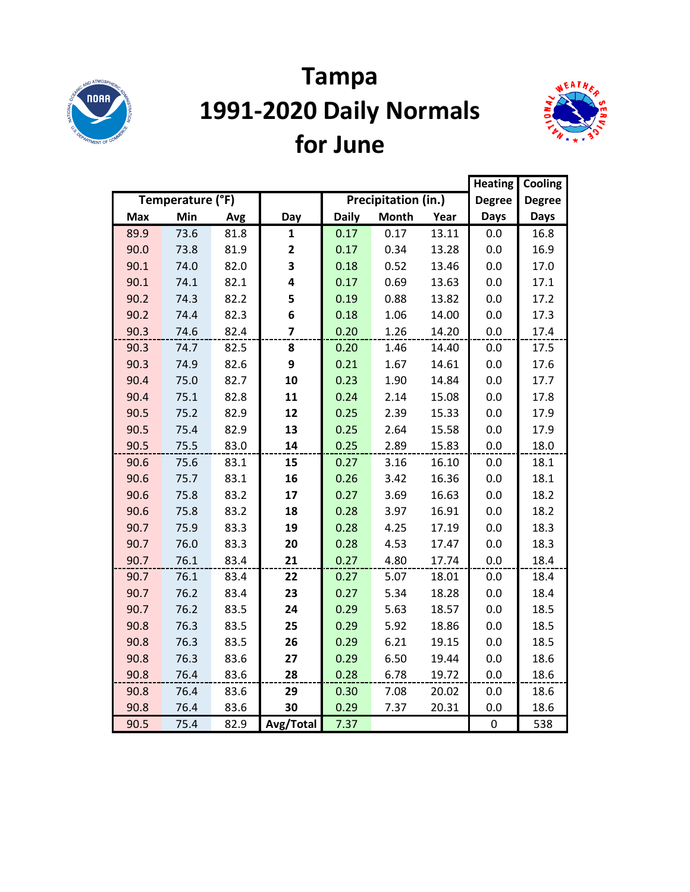

## **Tampa 1991-2020 Daily Normals for June**



|            |                  |      |                |              |                     |       |               | Cooling       |
|------------|------------------|------|----------------|--------------|---------------------|-------|---------------|---------------|
|            | Temperature (°F) |      |                |              | Precipitation (in.) |       | <b>Degree</b> | <b>Degree</b> |
| <b>Max</b> | Min              | Avg  | Day            | <b>Daily</b> | <b>Month</b>        | Year  | <b>Days</b>   | <b>Days</b>   |
| 89.9       | 73.6             | 81.8 | $\mathbf{1}$   | 0.17         | 0.17                | 13.11 | 0.0           | 16.8          |
| 90.0       | 73.8             | 81.9 | 2              | 0.17         | 0.34                | 13.28 | 0.0           | 16.9          |
| 90.1       | 74.0             | 82.0 | 3              | 0.18         | 0.52                | 13.46 | 0.0           | 17.0          |
| 90.1       | 74.1             | 82.1 | 4              | 0.17         | 0.69                | 13.63 | 0.0           | 17.1          |
| 90.2       | 74.3             | 82.2 | 5              | 0.19         | 0.88                | 13.82 | 0.0           | 17.2          |
| 90.2       | 74.4             | 82.3 | 6              | 0.18         | 1.06                | 14.00 | 0.0           | 17.3          |
| 90.3       | 74.6             | 82.4 | $\overline{7}$ | 0.20         | 1.26                | 14.20 | 0.0           | 17.4          |
| 90.3       | 74.7             | 82.5 | 8              | 0.20         | 1.46                | 14.40 | 0.0           | 17.5          |
| 90.3       | 74.9             | 82.6 | 9              | 0.21         | 1.67                | 14.61 | 0.0           | 17.6          |
| 90.4       | 75.0             | 82.7 | 10             | 0.23         | 1.90                | 14.84 | 0.0           | 17.7          |
| 90.4       | 75.1             | 82.8 | 11             | 0.24         | 2.14                | 15.08 | 0.0           | 17.8          |
| 90.5       | 75.2             | 82.9 | 12             | 0.25         | 2.39                | 15.33 | 0.0           | 17.9          |
| 90.5       | 75.4             | 82.9 | 13             | 0.25         | 2.64                | 15.58 | 0.0           | 17.9          |
| 90.5       | 75.5             | 83.0 | 14             | 0.25         | 2.89                | 15.83 | 0.0           | 18.0          |
| 90.6       | 75.6             | 83.1 | 15             | 0.27         | 3.16                | 16.10 | 0.0           | 18.1          |
| 90.6       | 75.7             | 83.1 | 16             | 0.26         | 3.42                | 16.36 | 0.0           | 18.1          |
| 90.6       | 75.8             | 83.2 | 17             | 0.27         | 3.69                | 16.63 | 0.0           | 18.2          |
| 90.6       | 75.8             | 83.2 | 18             | 0.28         | 3.97                | 16.91 | 0.0           | 18.2          |
| 90.7       | 75.9             | 83.3 | 19             | 0.28         | 4.25                | 17.19 | 0.0           | 18.3          |
| 90.7       | 76.0             | 83.3 | 20             | 0.28         | 4.53                | 17.47 | 0.0           | 18.3          |
| 90.7       | 76.1             | 83.4 | 21             | 0.27         | 4.80                | 17.74 | 0.0           | 18.4          |
| 90.7       | 76.1             | 83.4 | 22             | 0.27         | 5.07                | 18.01 | 0.0           | 18.4          |
| 90.7       | 76.2             | 83.4 | 23             | 0.27         | 5.34                | 18.28 | 0.0           | 18.4          |
| 90.7       | 76.2             | 83.5 | 24             | 0.29         | 5.63                | 18.57 | 0.0           | 18.5          |
| 90.8       | 76.3             | 83.5 | 25             | 0.29         | 5.92                | 18.86 | 0.0           | 18.5          |
| 90.8       | 76.3             | 83.5 | 26             | 0.29         | 6.21                | 19.15 | 0.0           | 18.5          |
| 90.8       | 76.3             | 83.6 | 27             | 0.29         | 6.50                | 19.44 | 0.0           | 18.6          |
| 90.8       | 76.4             | 83.6 | 28             | 0.28         | 6.78                | 19.72 | 0.0           | 18.6          |
| 90.8       | 76.4             | 83.6 | 29             | 0.30         | 7.08                | 20.02 | 0.0           | 18.6          |
| 90.8       | 76.4             | 83.6 | 30             | 0.29         | 7.37                | 20.31 | 0.0           | 18.6          |
| 90.5       | 75.4             | 82.9 | Avg/Total      | 7.37         |                     |       | $\pmb{0}$     | 538           |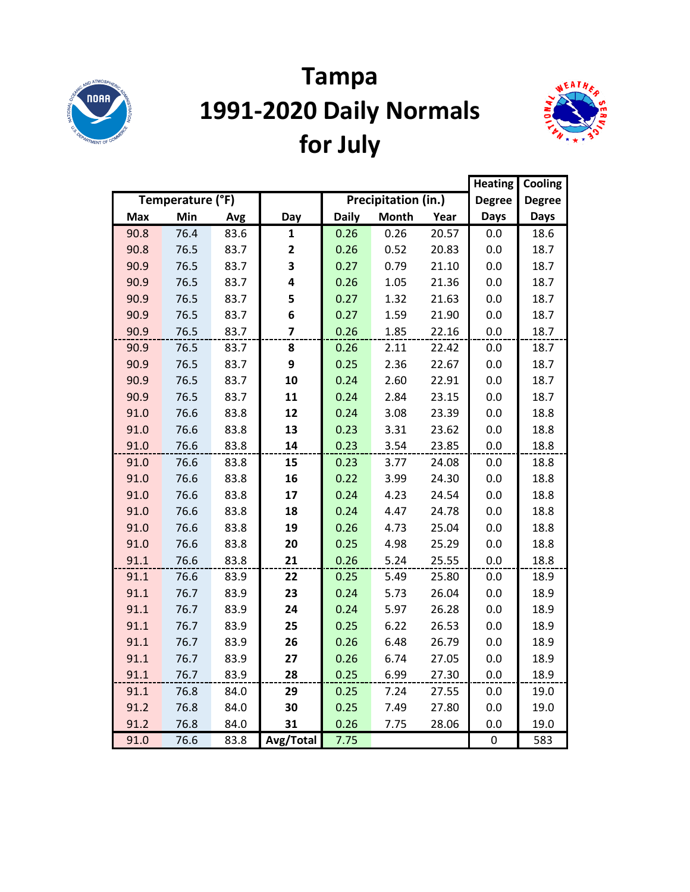

## **Tampa 1991-2020 Daily Normals for July**



|      |                  |      |              |              |                     |       |               | Cooling       |
|------|------------------|------|--------------|--------------|---------------------|-------|---------------|---------------|
|      | Temperature (°F) |      |              |              | Precipitation (in.) |       | <b>Degree</b> | <b>Degree</b> |
| Max  | Min              | Avg  | Day          | <b>Daily</b> | <b>Month</b>        | Year  | <b>Days</b>   | <b>Days</b>   |
| 90.8 | 76.4             | 83.6 | 1            | 0.26         | 0.26                | 20.57 | 0.0           | 18.6          |
| 90.8 | 76.5             | 83.7 | $\mathbf{2}$ | 0.26         | 0.52                | 20.83 | 0.0           | 18.7          |
| 90.9 | 76.5             | 83.7 | 3            | 0.27         | 0.79                | 21.10 | 0.0           | 18.7          |
| 90.9 | 76.5             | 83.7 | 4            | 0.26         | 1.05                | 21.36 | 0.0           | 18.7          |
| 90.9 | 76.5             | 83.7 | 5            | 0.27         | 1.32                | 21.63 | 0.0           | 18.7          |
| 90.9 | 76.5             | 83.7 | 6            | 0.27         | 1.59                | 21.90 | 0.0           | 18.7          |
| 90.9 | 76.5             | 83.7 | 7            | 0.26         | 1.85                | 22.16 | 0.0           | 18.7          |
| 90.9 | 76.5             | 83.7 | 8            | 0.26         | 2.11                | 22.42 | 0.0           | 18.7          |
| 90.9 | 76.5             | 83.7 | 9            | 0.25         | 2.36                | 22.67 | 0.0           | 18.7          |
| 90.9 | 76.5             | 83.7 | 10           | 0.24         | 2.60                | 22.91 | 0.0           | 18.7          |
| 90.9 | 76.5             | 83.7 | 11           | 0.24         | 2.84                | 23.15 | 0.0           | 18.7          |
| 91.0 | 76.6             | 83.8 | 12           | 0.24         | 3.08                | 23.39 | 0.0           | 18.8          |
| 91.0 | 76.6             | 83.8 | 13           | 0.23         | 3.31                | 23.62 | 0.0           | 18.8          |
| 91.0 | 76.6             | 83.8 | 14           | 0.23         | 3.54                | 23.85 | 0.0           | 18.8          |
| 91.0 | 76.6             | 83.8 | 15           | 0.23         | 3.77                | 24.08 | 0.0           | 18.8          |
| 91.0 | 76.6             | 83.8 | 16           | 0.22         | 3.99                | 24.30 | 0.0           | 18.8          |
| 91.0 | 76.6             | 83.8 | 17           | 0.24         | 4.23                | 24.54 | 0.0           | 18.8          |
| 91.0 | 76.6             | 83.8 | 18           | 0.24         | 4.47                | 24.78 | 0.0           | 18.8          |
| 91.0 | 76.6             | 83.8 | 19           | 0.26         | 4.73                | 25.04 | 0.0           | 18.8          |
| 91.0 | 76.6             | 83.8 | 20           | 0.25         | 4.98                | 25.29 | 0.0           | 18.8          |
| 91.1 | 76.6             | 83.8 | 21           | 0.26         | 5.24                | 25.55 | 0.0           | 18.8          |
| 91.1 | 76.6             | 83.9 | 22           | 0.25         | 5.49                | 25.80 | 0.0           | 18.9          |
| 91.1 | 76.7             | 83.9 | 23           | 0.24         | 5.73                | 26.04 | 0.0           | 18.9          |
| 91.1 | 76.7             | 83.9 | 24           | 0.24         | 5.97                | 26.28 | 0.0           | 18.9          |
| 91.1 | 76.7             | 83.9 | 25           | 0.25         | 6.22                | 26.53 | 0.0           | 18.9          |
| 91.1 | 76.7             | 83.9 | 26           | 0.26         | 6.48                | 26.79 | 0.0           | 18.9          |
| 91.1 | 76.7             | 83.9 | 27           | 0.26         | 6.74                | 27.05 | 0.0           | 18.9          |
| 91.1 | 76.7             | 83.9 | 28           | 0.25         | 6.99                | 27.30 | 0.0           | 18.9          |
| 91.1 | 76.8             | 84.0 | 29           | 0.25         | 7.24                | 27.55 | 0.0           | 19.0          |
| 91.2 | 76.8             | 84.0 | 30           | 0.25         | 7.49                | 27.80 | 0.0           | 19.0          |
| 91.2 | 76.8             | 84.0 | 31           | 0.26         | 7.75                | 28.06 | 0.0           | 19.0          |
| 91.0 | 76.6             | 83.8 | Avg/Total    | 7.75         |                     |       | $\pmb{0}$     | 583           |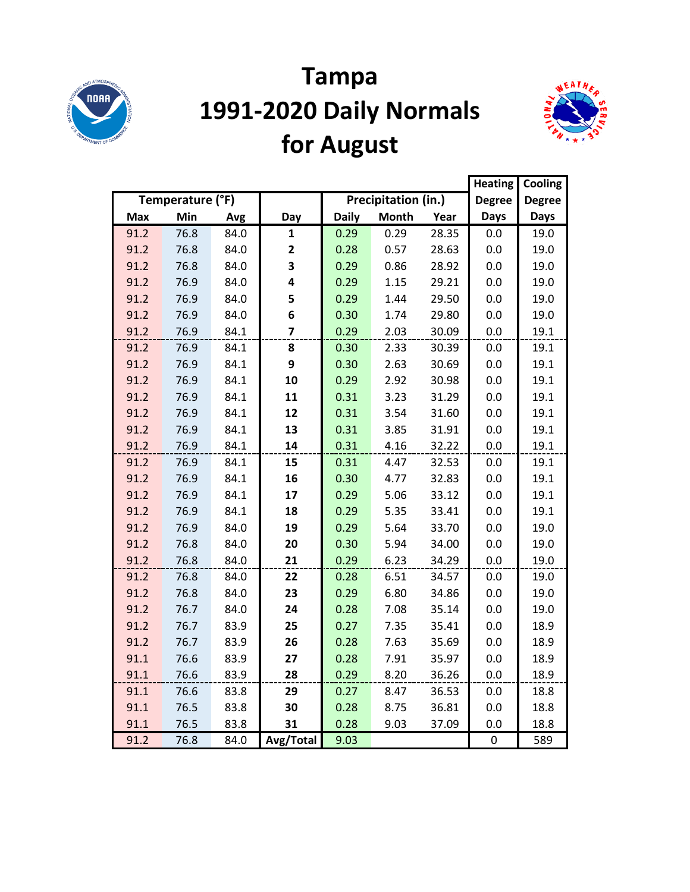

# **Tampa 1991-2020 Daily Normals for August**



|      |                  |      |              |              |                     |       |               | Cooling       |
|------|------------------|------|--------------|--------------|---------------------|-------|---------------|---------------|
|      | Temperature (°F) |      |              |              | Precipitation (in.) |       | <b>Degree</b> | <b>Degree</b> |
| Max  | Min              | Avg  | Day          | <b>Daily</b> | <b>Month</b>        | Year  | <b>Days</b>   | <b>Days</b>   |
| 91.2 | 76.8             | 84.0 | 1            | 0.29         | 0.29                | 28.35 | 0.0           | 19.0          |
| 91.2 | 76.8             | 84.0 | $\mathbf{2}$ | 0.28         | 0.57                | 28.63 | 0.0           | 19.0          |
| 91.2 | 76.8             | 84.0 | 3            | 0.29         | 0.86                | 28.92 | 0.0           | 19.0          |
| 91.2 | 76.9             | 84.0 | 4            | 0.29         | 1.15                | 29.21 | 0.0           | 19.0          |
| 91.2 | 76.9             | 84.0 | 5            | 0.29         | 1.44                | 29.50 | 0.0           | 19.0          |
| 91.2 | 76.9             | 84.0 | 6            | 0.30         | 1.74                | 29.80 | 0.0           | 19.0          |
| 91.2 | 76.9             | 84.1 | 7            | 0.29         | 2.03                | 30.09 | 0.0           | 19.1          |
| 91.2 | 76.9             | 84.1 | 8            | 0.30         | 2.33                | 30.39 | 0.0           | 19.1          |
| 91.2 | 76.9             | 84.1 | 9            | 0.30         | 2.63                | 30.69 | 0.0           | 19.1          |
| 91.2 | 76.9             | 84.1 | 10           | 0.29         | 2.92                | 30.98 | $0.0\,$       | 19.1          |
| 91.2 | 76.9             | 84.1 | 11           | 0.31         | 3.23                | 31.29 | 0.0           | 19.1          |
| 91.2 | 76.9             | 84.1 | 12           | 0.31         | 3.54                | 31.60 | 0.0           | 19.1          |
| 91.2 | 76.9             | 84.1 | 13           | 0.31         | 3.85                | 31.91 | 0.0           | 19.1          |
| 91.2 | 76.9             | 84.1 | 14           | 0.31         | 4.16                | 32.22 | 0.0           | 19.1          |
| 91.2 | 76.9             | 84.1 | 15           | 0.31         | 4.47                | 32.53 | 0.0           | 19.1          |
| 91.2 | 76.9             | 84.1 | 16           | 0.30         | 4.77                | 32.83 | 0.0           | 19.1          |
| 91.2 | 76.9             | 84.1 | 17           | 0.29         | 5.06                | 33.12 | 0.0           | 19.1          |
| 91.2 | 76.9             | 84.1 | 18           | 0.29         | 5.35                | 33.41 | 0.0           | 19.1          |
| 91.2 | 76.9             | 84.0 | 19           | 0.29         | 5.64                | 33.70 | 0.0           | 19.0          |
| 91.2 | 76.8             | 84.0 | 20           | 0.30         | 5.94                | 34.00 | 0.0           | 19.0          |
| 91.2 | 76.8             | 84.0 | 21           | 0.29         | 6.23                | 34.29 | 0.0           | 19.0          |
| 91.2 | 76.8             | 84.0 | 22           | 0.28         | 6.51                | 34.57 | 0.0           | 19.0          |
| 91.2 | 76.8             | 84.0 | 23           | 0.29         | 6.80                | 34.86 | 0.0           | 19.0          |
| 91.2 | 76.7             | 84.0 | 24           | 0.28         | 7.08                | 35.14 | 0.0           | 19.0          |
| 91.2 | 76.7             | 83.9 | 25           | 0.27         | 7.35                | 35.41 | 0.0           | 18.9          |
| 91.2 | 76.7             | 83.9 | 26           | 0.28         | 7.63                | 35.69 | 0.0           | 18.9          |
| 91.1 | 76.6             | 83.9 | 27           | 0.28         | 7.91                | 35.97 | 0.0           | 18.9          |
| 91.1 | 76.6             | 83.9 | 28           | 0.29         | 8.20                | 36.26 | 0.0           | 18.9          |
| 91.1 | 76.6             | 83.8 | 29           | 0.27         | 8.47                | 36.53 | 0.0           | 18.8          |
| 91.1 | 76.5             | 83.8 | 30           | 0.28         | 8.75                | 36.81 | 0.0           | 18.8          |
| 91.1 | 76.5             | 83.8 | 31           | 0.28         | 9.03                | 37.09 | 0.0           | 18.8          |
| 91.2 | 76.8             | 84.0 | Avg/Total    | 9.03         |                     |       | $\pmb{0}$     | 589           |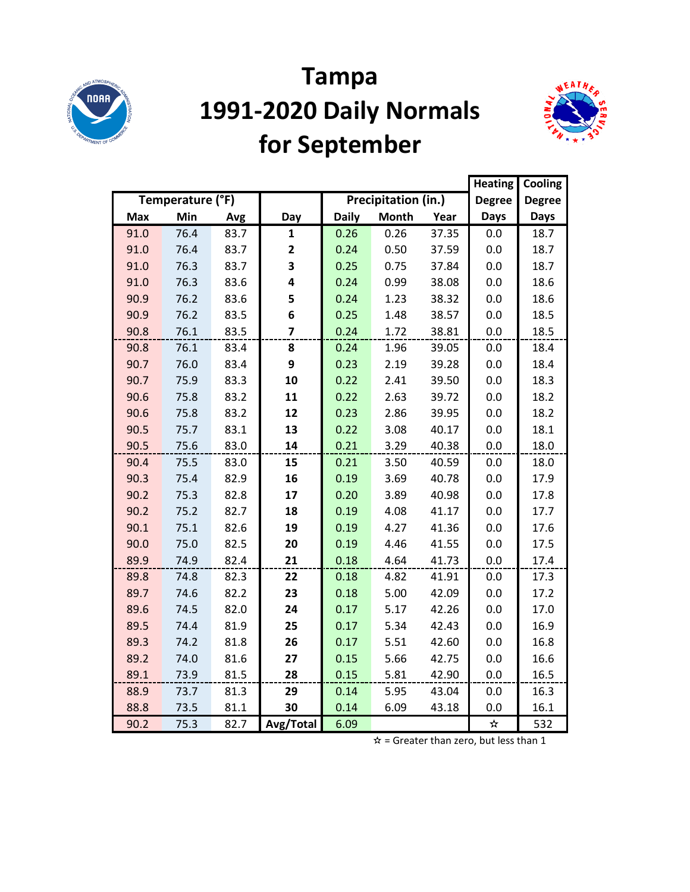

# **Tampa 1991-2020 Daily Normals for September**



|            |                  |      |                |              |                     |       |               | Cooling       |
|------------|------------------|------|----------------|--------------|---------------------|-------|---------------|---------------|
|            | Temperature (°F) |      |                |              | Precipitation (in.) |       | <b>Degree</b> | <b>Degree</b> |
| <b>Max</b> | Min              | Avg  | Day            | <b>Daily</b> | <b>Month</b>        | Year  | <b>Days</b>   | <b>Days</b>   |
| 91.0       | 76.4             | 83.7 | 1              | 0.26         | 0.26                | 37.35 | 0.0           | 18.7          |
| 91.0       | 76.4             | 83.7 | 2              | 0.24         | 0.50                | 37.59 | 0.0           | 18.7          |
| 91.0       | 76.3             | 83.7 | 3              | 0.25         | 0.75                | 37.84 | 0.0           | 18.7          |
| 91.0       | 76.3             | 83.6 | 4              | 0.24         | 0.99                | 38.08 | 0.0           | 18.6          |
| 90.9       | 76.2             | 83.6 | 5              | 0.24         | 1.23                | 38.32 | 0.0           | 18.6          |
| 90.9       | 76.2             | 83.5 | 6              | 0.25         | 1.48                | 38.57 | 0.0           | 18.5          |
| 90.8       | 76.1             | 83.5 | $\overline{7}$ | 0.24         | 1.72                | 38.81 | 0.0           | 18.5          |
| 90.8       | 76.1             | 83.4 | 8              | 0.24         | 1.96                | 39.05 | 0.0           | 18.4          |
| 90.7       | 76.0             | 83.4 | 9              | 0.23         | 2.19                | 39.28 | 0.0           | 18.4          |
| 90.7       | 75.9             | 83.3 | 10             | 0.22         | 2.41                | 39.50 | 0.0           | 18.3          |
| 90.6       | 75.8             | 83.2 | 11             | 0.22         | 2.63                | 39.72 | 0.0           | 18.2          |
| 90.6       | 75.8             | 83.2 | 12             | 0.23         | 2.86                | 39.95 | 0.0           | 18.2          |
| 90.5       | 75.7             | 83.1 | 13             | 0.22         | 3.08                | 40.17 | 0.0           | 18.1          |
| 90.5       | 75.6             | 83.0 | 14             | 0.21         | 3.29                | 40.38 | 0.0           | 18.0          |
| 90.4       | 75.5             | 83.0 | 15             | 0.21         | 3.50                | 40.59 | 0.0           | 18.0          |
| 90.3       | 75.4             | 82.9 | 16             | 0.19         | 3.69                | 40.78 | 0.0           | 17.9          |
| 90.2       | 75.3             | 82.8 | 17             | 0.20         | 3.89                | 40.98 | 0.0           | 17.8          |
| 90.2       | 75.2             | 82.7 | 18             | 0.19         | 4.08                | 41.17 | 0.0           | 17.7          |
| 90.1       | 75.1             | 82.6 | 19             | 0.19         | 4.27                | 41.36 | 0.0           | 17.6          |
| 90.0       | 75.0             | 82.5 | 20             | 0.19         | 4.46                | 41.55 | 0.0           | 17.5          |
| 89.9       | 74.9             | 82.4 | 21             | 0.18         | 4.64                | 41.73 | 0.0           | 17.4          |
| 89.8       | 74.8             | 82.3 | 22             | 0.18         | 4.82                | 41.91 | 0.0           | 17.3          |
| 89.7       | 74.6             | 82.2 | 23             | 0.18         | 5.00                | 42.09 | 0.0           | 17.2          |
| 89.6       | 74.5             | 82.0 | 24             | 0.17         | 5.17                | 42.26 | 0.0           | 17.0          |
| 89.5       | 74.4             | 81.9 | 25             | 0.17         | 5.34                | 42.43 | 0.0           | 16.9          |
| 89.3       | 74.2             | 81.8 | 26             | 0.17         | 5.51                | 42.60 | 0.0           | 16.8          |
| 89.2       | 74.0             | 81.6 | 27             | 0.15         | 5.66                | 42.75 | 0.0           | 16.6          |
| 89.1       | 73.9             | 81.5 | 28             | 0.15         | 5.81                | 42.90 | 0.0           | 16.5          |
| 88.9       | 73.7             | 81.3 | 29             | 0.14         | 5.95                | 43.04 | 0.0           | 16.3          |
| 88.8       | 73.5             | 81.1 | 30             | 0.14         | 6.09                | 43.18 | 0.0           | 16.1          |
| 90.2       | 75.3             | 82.7 | Avg/Total      | 6.09         |                     |       | ☆             | 532           |

 $\hat{x}$  = Greater than zero, but less than 1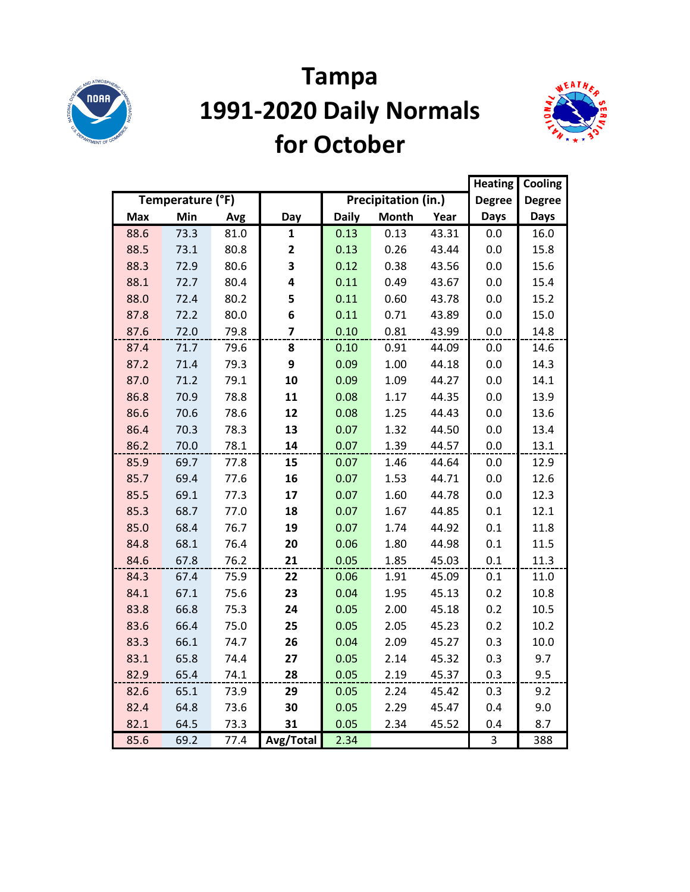

#### **Tampa 1991-2020 Daily Normals for October**



|            |                  |      |                         |              |                     |       | <b>Heating</b> | Cooling       |
|------------|------------------|------|-------------------------|--------------|---------------------|-------|----------------|---------------|
|            | Temperature (°F) |      |                         |              | Precipitation (in.) |       | <b>Degree</b>  | <b>Degree</b> |
| <b>Max</b> | Min              | Avg  | Day                     | <b>Daily</b> | <b>Month</b>        | Year  | <b>Days</b>    | <b>Days</b>   |
| 88.6       | 73.3             | 81.0 | 1                       | 0.13         | 0.13                | 43.31 | 0.0            | 16.0          |
| 88.5       | 73.1             | 80.8 | $\mathbf{2}$            | 0.13         | 0.26                | 43.44 | 0.0            | 15.8          |
| 88.3       | 72.9             | 80.6 | 3                       | 0.12         | 0.38                | 43.56 | 0.0            | 15.6          |
| 88.1       | 72.7             | 80.4 | 4                       | 0.11         | 0.49                | 43.67 | 0.0            | 15.4          |
| 88.0       | 72.4             | 80.2 | 5                       | 0.11         | 0.60                | 43.78 | 0.0            | 15.2          |
| 87.8       | 72.2             | 80.0 | 6                       | 0.11         | 0.71                | 43.89 | 0.0            | 15.0          |
| 87.6       | 72.0             | 79.8 | $\overline{\mathbf{z}}$ | 0.10         | 0.81                | 43.99 | 0.0            | 14.8          |
| 87.4       | 71.7             | 79.6 | 8                       | 0.10         | 0.91                | 44.09 | 0.0            | 14.6          |
| 87.2       | 71.4             | 79.3 | 9                       | 0.09         | 1.00                | 44.18 | 0.0            | 14.3          |
| 87.0       | 71.2             | 79.1 | 10                      | 0.09         | 1.09                | 44.27 | 0.0            | 14.1          |
| 86.8       | 70.9             | 78.8 | 11                      | 0.08         | 1.17                | 44.35 | 0.0            | 13.9          |
| 86.6       | 70.6             | 78.6 | 12                      | 0.08         | 1.25                | 44.43 | 0.0            | 13.6          |
| 86.4       | 70.3             | 78.3 | 13                      | 0.07         | 1.32                | 44.50 | 0.0            | 13.4          |
| 86.2       | 70.0             | 78.1 | 14                      | 0.07         | 1.39                | 44.57 | 0.0            | 13.1          |
| 85.9       | 69.7             | 77.8 | 15                      | 0.07         | 1.46                | 44.64 | 0.0            | 12.9          |
| 85.7       | 69.4             | 77.6 | 16                      | 0.07         | 1.53                | 44.71 | 0.0            | 12.6          |
| 85.5       | 69.1             | 77.3 | 17                      | 0.07         | 1.60                | 44.78 | 0.0            | 12.3          |
| 85.3       | 68.7             | 77.0 | 18                      | 0.07         | 1.67                | 44.85 | 0.1            | 12.1          |
| 85.0       | 68.4             | 76.7 | 19                      | 0.07         | 1.74                | 44.92 | 0.1            | 11.8          |
| 84.8       | 68.1             | 76.4 | 20                      | 0.06         | 1.80                | 44.98 | 0.1            | 11.5          |
| 84.6       | 67.8             | 76.2 | 21                      | 0.05         | 1.85                | 45.03 | 0.1            | 11.3          |
| 84.3       | 67.4             | 75.9 | 22                      | 0.06         | 1.91                | 45.09 | 0.1            | 11.0          |
| 84.1       | 67.1             | 75.6 | 23                      | 0.04         | 1.95                | 45.13 | 0.2            | 10.8          |
| 83.8       | 66.8             | 75.3 | 24                      | 0.05         | 2.00                | 45.18 | 0.2            | 10.5          |
| 83.6       | 66.4             | 75.0 | 25                      | 0.05         | 2.05                | 45.23 | 0.2            | 10.2          |
| 83.3       | 66.1             | 74.7 | 26                      | 0.04         | 2.09                | 45.27 | 0.3            | 10.0          |
| 83.1       | 65.8             | 74.4 | 27                      | 0.05         | 2.14                | 45.32 | 0.3            | 9.7           |
| 82.9       | 65.4             | 74.1 | 28                      | 0.05         | 2.19                | 45.37 | 0.3            | 9.5           |
| 82.6       | 65.1             | 73.9 | 29                      | 0.05         | 2.24                | 45.42 | 0.3            | 9.2           |
| 82.4       | 64.8             | 73.6 | 30                      | 0.05         | 2.29                | 45.47 | 0.4            | 9.0           |
| 82.1       | 64.5             | 73.3 | 31                      | 0.05         | 2.34                | 45.52 | 0.4            | 8.7           |
| 85.6       | 69.2             | 77.4 | Avg/Total               | 2.34         |                     |       | 3              | 388           |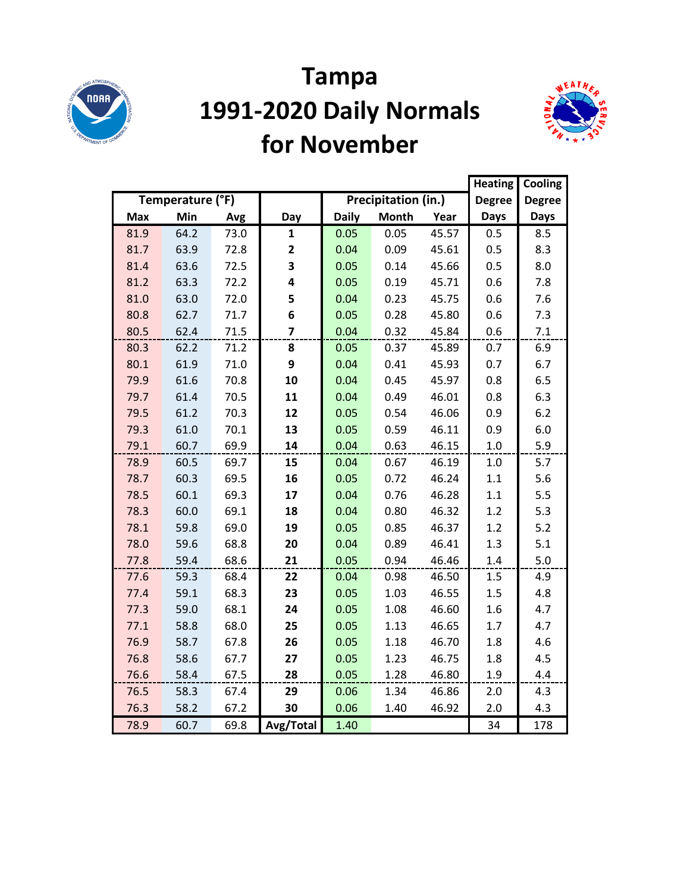

#### **Tampa 1991-2020 Daily Normals for November**



|            |                  |      |                |              |                     |       | <b>Heating</b> | Cooling       |
|------------|------------------|------|----------------|--------------|---------------------|-------|----------------|---------------|
|            | Temperature (°F) |      |                |              | Precipitation (in.) |       | <b>Degree</b>  | <b>Degree</b> |
| <b>Max</b> | Min              | Avg  | Day            | <b>Daily</b> | <b>Month</b>        | Year  | <b>Days</b>    | <b>Days</b>   |
| 81.9       | 64.2             | 73.0 | $\mathbf{1}$   | 0.05         | 0.05                | 45.57 | 0.5            | 8.5           |
| 81.7       | 63.9             | 72.8 | 2              | 0.04         | 0.09                | 45.61 | 0.5            | 8.3           |
| 81.4       | 63.6             | 72.5 | 3              | 0.05         | 0.14                | 45.66 | 0.5            | 8.0           |
| 81.2       | 63.3             | 72.2 | 4              | 0.05         | 0.19                | 45.71 | 0.6            | 7.8           |
| 81.0       | 63.0             | 72.0 | 5              | 0.04         | 0.23                | 45.75 | 0.6            | 7.6           |
| 80.8       | 62.7             | 71.7 | 6              | 0.05         | 0.28                | 45.80 | 0.6            | 7.3           |
| 80.5       | 62.4             | 71.5 | $\overline{z}$ | 0.04         | 0.32                | 45.84 | 0.6            | 7.1           |
| 80.3       | 62.2             | 71.2 | 8              | 0.05         | 0.37                | 45.89 | 0.7            | 6.9           |
| 80.1       | 61.9             | 71.0 | 9              | 0.04         | 0.41                | 45.93 | 0.7            | 6.7           |
| 79.9       | 61.6             | 70.8 | 10             | 0.04         | 0.45                | 45.97 | 0.8            | 6.5           |
| 79.7       | 61.4             | 70.5 | 11             | 0.04         | 0.49                | 46.01 | 0.8            | 6.3           |
| 79.5       | 61.2             | 70.3 | 12             | 0.05         | 0.54                | 46.06 | 0.9            | 6.2           |
| 79.3       | 61.0             | 70.1 | 13             | 0.05         | 0.59                | 46.11 | 0.9            | 6.0           |
| 79.1       | 60.7             | 69.9 | 14             | 0.04         | 0.63                | 46.15 | $1.0\,$        | 5.9           |
| 78.9       | 60.5             | 69.7 | 15             | 0.04         | 0.67                | 46.19 | 1.0            | 5.7           |
| 78.7       | 60.3             | 69.5 | 16             | 0.05         | 0.72                | 46.24 | 1.1            | 5.6           |
| 78.5       | 60.1             | 69.3 | 17             | 0.04         | 0.76                | 46.28 | 1.1            | 5.5           |
| 78.3       | 60.0             | 69.1 | 18             | 0.04         | 0.80                | 46.32 | 1.2            | 5.3           |
| 78.1       | 59.8             | 69.0 | 19             | 0.05         | 0.85                | 46.37 | 1.2            | $5.2$         |
| 78.0       | 59.6             | 68.8 | 20             | 0.04         | 0.89                | 46.41 | 1.3            | 5.1           |
| 77.8       | 59.4             | 68.6 | 21             | 0.05         | 0.94                | 46.46 | 1.4            | 5.0           |
| 77.6       | 59.3             | 68.4 | 22             | 0.04         | 0.98                | 46.50 | 1.5            | 4.9           |
| 77.4       | 59.1             | 68.3 | 23             | 0.05         | 1.03                | 46.55 | 1.5            | 4.8           |
| 77.3       | 59.0             | 68.1 | 24             | 0.05         | 1.08                | 46.60 | 1.6            | 4.7           |
| 77.1       | 58.8             | 68.0 | 25             | 0.05         | 1.13                | 46.65 | 1.7            | 4.7           |
| 76.9       | 58.7             | 67.8 | 26             | 0.05         | 1.18                | 46.70 | 1.8            | 4.6           |
| 76.8       | 58.6             | 67.7 | 27             | 0.05         | 1.23                | 46.75 | 1.8            | 4.5           |
| 76.6       | 58.4             | 67.5 | 28             | 0.05         | 1.28                | 46.80 | 1.9            | 4.4           |
| 76.5       | 58.3             | 67.4 | 29             | 0.06         | 1.34                | 46.86 | 2.0            | 4.3           |
| 76.3       | 58.2             | 67.2 | 30             | 0.06         | 1.40                | 46.92 | 2.0            | 4.3           |
| 78.9       | 60.7             | 69.8 | Avg/Total      | 1.40         |                     |       | 34             | 178           |